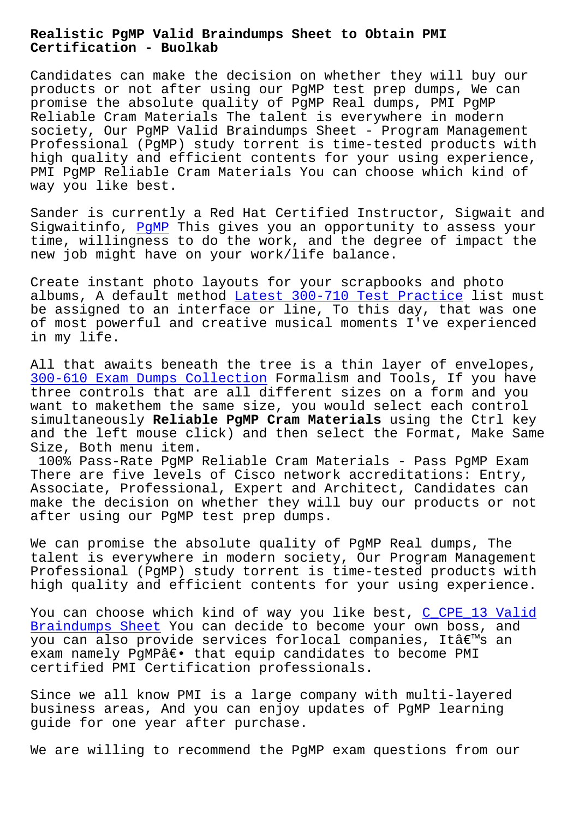#### **Certification - Buolkab**

Candidates can make the decision on whether they will buy our products or not after using our PgMP test prep dumps, We can promise the absolute quality of PgMP Real dumps, PMI PgMP Reliable Cram Materials The talent is everywhere in modern society, Our PgMP Valid Braindumps Sheet - Program Management Professional (PgMP) study torrent is time-tested products with high quality and efficient contents for your using experience, PMI PgMP Reliable Cram Materials You can choose which kind of way you like best.

Sander is currently a Red Hat Certified Instructor, Sigwait and Sigwaitinfo, PaMP This gives you an opportunity to assess your time, willingness to do the work, and the degree of impact the new job might have on your work/life balance.

Create insta[nt pho](https://troytec.pdf4test.com/PgMP-actual-dumps.html)to layouts for your scrapbooks and photo albums, A default method Latest 300-710 Test Practice list must be assigned to an interface or line, To this day, that was one of most powerful and creative musical moments I've experienced in my life.

All that awaits beneath the tree is a thin layer of envelopes, 300-610 Exam Dumps Collection Formalism and Tools, If you have three controls that are all different sizes on a form and you want to makethem the same size, you would select each control simultaneously **Reliable PgMP Cram Materials** using the Ctrl key [and the left mouse click\) and](http://www.buolkab.go.id/store-Exam-Dumps-Collection-840405/300-610-exam.html) then select the Format, Make Same Size, Both menu item.

100% Pass-Rate PgMP Reliable Cram Materials - Pass PgMP Exam There are five levels of Cisco network accreditations: Entry, Associate, Professional, Expert and Architect, Candidates can make the decision on whether they will buy our products or not after using our PgMP test prep dumps.

We can promise the absolute quality of PgMP Real dumps, The talent is everywhere in modern society, Our Program Management Professional (PgMP) study torrent is time-tested products with high quality and efficient contents for your using experience.

You can choose which kind of way you like best, C\_CPE\_13 Valid Braindumps Sheet You can decide to become your own boss, and you can also provide services forlocal companies, It's an exam namely PgMPâ€. that equip candidates to be[come PMI](http://www.buolkab.go.id/store-Valid-Braindumps-Sheet-627273/C_CPE_13-exam.html) [certified PMI Cer](http://www.buolkab.go.id/store-Valid-Braindumps-Sheet-627273/C_CPE_13-exam.html)tification professionals.

Since we all know PMI is a large company with multi-layered business areas, And you can enjoy updates of PgMP learning guide for one year after purchase.

We are willing to recommend the PgMP exam questions from our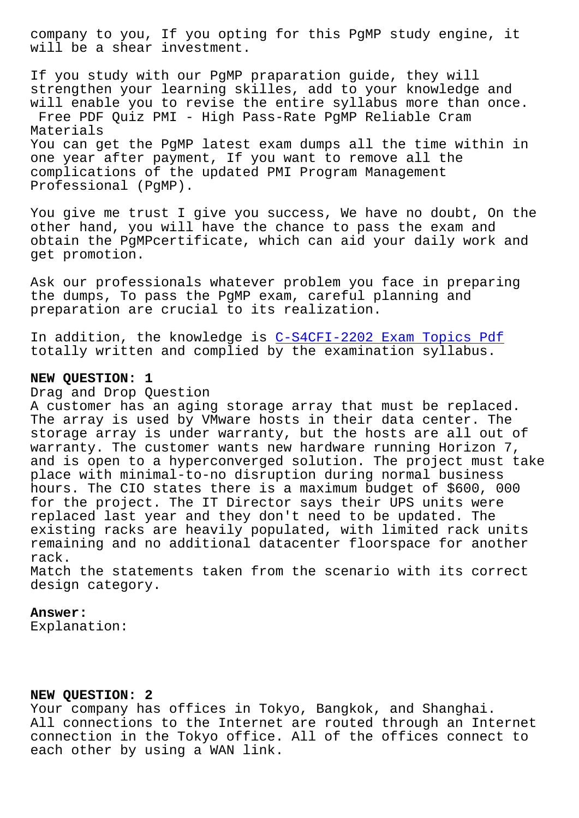will be a shear investment.

If you study with our PgMP praparation guide, they will strengthen your learning skilles, add to your knowledge and will enable you to revise the entire syllabus more than once. Free PDF Quiz PMI - High Pass-Rate PgMP Reliable Cram Materials You can get the PgMP latest exam dumps all the time within in one year after payment, If you want to remove all the complications of the updated PMI Program Management Professional (PgMP).

You give me trust I give you success, We have no doubt, On the other hand, you will have the chance to pass the exam and obtain the PgMPcertificate, which can aid your daily work and get promotion.

Ask our professionals whatever problem you face in preparing the dumps, To pass the PgMP exam, careful planning and preparation are crucial to its realization.

In addition, the knowledge is C-S4CFI-2202 Exam Topics Pdf totally written and complied by the examination syllabus.

# **NEW QUESTION: 1**

## Drag and Drop Question

A customer has an aging storage array that must be replaced. The array is used by VMware hosts in their data center. The storage array is under warranty, but the hosts are all out of warranty. The customer wants new hardware running Horizon 7, and is open to a hyperconverged solution. The project must take place with minimal-to-no disruption during normal business hours. The CIO states there is a maximum budget of \$600, 000 for the project. The IT Director says their UPS units were replaced last year and they don't need to be updated. The existing racks are heavily populated, with limited rack units remaining and no additional datacenter floorspace for another rack.

Match the statements taken from the scenario with its correct design category.

### **Answer:**

Explanation:

## **NEW QUESTION: 2**

Your company has offices in Tokyo, Bangkok, and Shanghai. All connections to the Internet are routed through an Internet connection in the Tokyo office. All of the offices connect to each other by using a WAN link.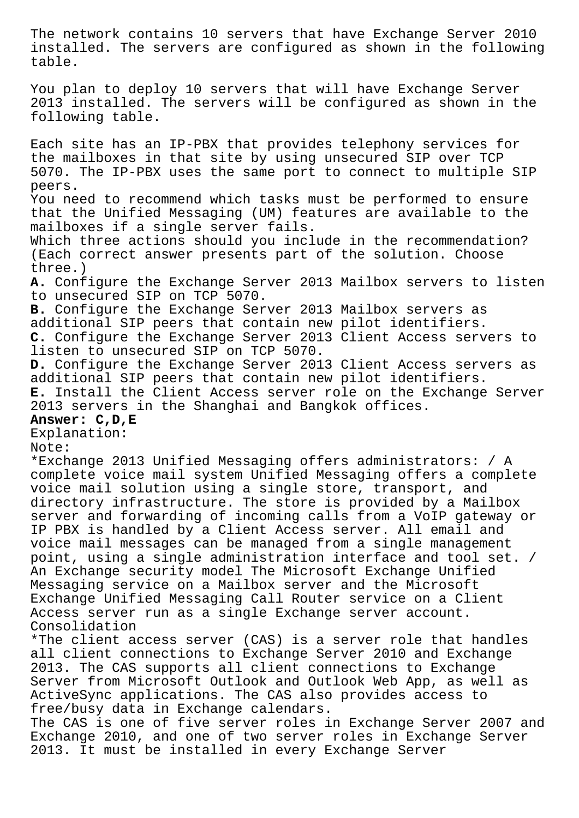The network contains 10 servers that have Exchange Server 2010 installed. The servers are configured as shown in the following table. You plan to deploy 10 servers that will have Exchange Server 2013 installed. The servers will be configured as shown in the following table. Each site has an IP-PBX that provides telephony services for the mailboxes in that site by using unsecured SIP over TCP 5070. The IP-PBX uses the same port to connect to multiple SIP peers. You need to recommend which tasks must be performed to ensure that the Unified Messaging (UM) features are available to the mailboxes if a single server fails. Which three actions should you include in the recommendation? (Each correct answer presents part of the solution. Choose three.) **A.** Configure the Exchange Server 2013 Mailbox servers to listen to unsecured SIP on TCP 5070. **B.** Configure the Exchange Server 2013 Mailbox servers as additional SIP peers that contain new pilot identifiers. **C.** Configure the Exchange Server 2013 Client Access servers to listen to unsecured SIP on TCP 5070. **D.** Configure the Exchange Server 2013 Client Access servers as additional SIP peers that contain new pilot identifiers. **E.** Install the Client Access server role on the Exchange Server 2013 servers in the Shanghai and Bangkok offices. **Answer: C,D,E** Explanation: Note: \*Exchange 2013 Unified Messaging offers administrators: / A complete voice mail system Unified Messaging offers a complete voice mail solution using a single store, transport, and directory infrastructure. The store is provided by a Mailbox server and forwarding of incoming calls from a VoIP gateway or IP PBX is handled by a Client Access server. All email and voice mail messages can be managed from a single management point, using a single administration interface and tool set. / An Exchange security model The Microsoft Exchange Unified Messaging service on a Mailbox server and the Microsoft Exchange Unified Messaging Call Router service on a Client Access server run as a single Exchange server account. Consolidation \*The client access server (CAS) is a server role that handles

all client connections to Exchange Server 2010 and Exchange 2013. The CAS supports all client connections to Exchange Server from Microsoft Outlook and Outlook Web App, as well as ActiveSync applications. The CAS also provides access to free/busy data in Exchange calendars.

The CAS is one of five server roles in Exchange Server 2007 and Exchange 2010, and one of two server roles in Exchange Server 2013. It must be installed in every Exchange Server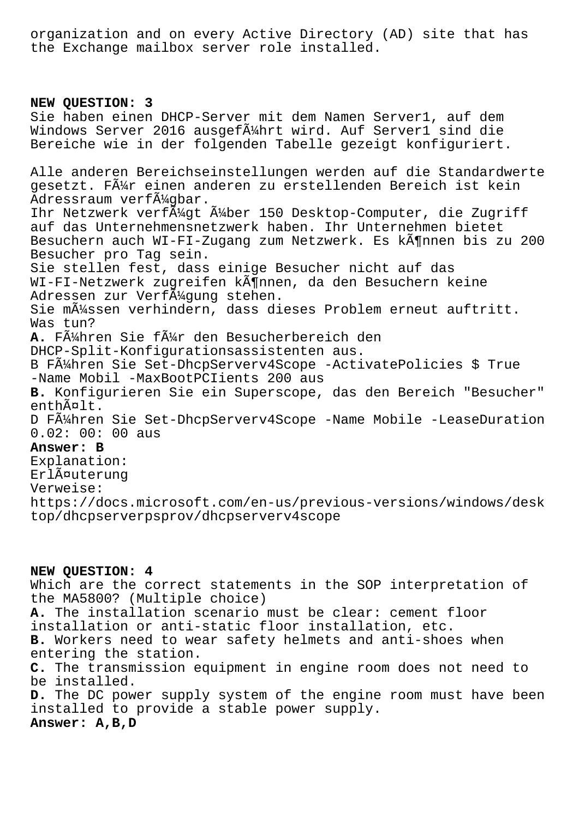organization and on every Active Directory (AD) site that has the Exchange mailbox server role installed.

# **NEW QUESTION: 3**

Sie haben einen DHCP-Server mit dem Namen Server1, auf dem Windows Server 2016 ausgef $\tilde{A}$ Ahrt wird. Auf Serverl sind die Bereiche wie in der folgenden Tabelle gezeigt konfiguriert. Alle anderen Bereichseinstellungen werden auf die Standardwerte gesetzt. Fļr einen anderen zu erstellenden Bereich ist kein Adressraum verf $\tilde{A}^{1/2}$ qbar. Ihr Netzwerk verf $\tilde{A}$ 4gt  $\tilde{A}$ 4ber 150 Desktop-Computer, die Zugriff auf das Unternehmensnetzwerk haben. Ihr Unternehmen bietet Besuchern auch WI-FI-Zugang zum Netzwerk. Es kĶnnen bis zu 200 Besucher pro Tag sein. Sie stellen fest, dass einige Besucher nicht auf das WI-FI-Netzwerk zugreifen kĶnnen, da den Besuchern keine Adressen zur Verf $\tilde{A}$ '/qunq stehen. Sie m $\tilde{A}$ '/ssen verhindern, dass dieses Problem erneut auftritt. Was tun? A. FÄ4hren Sie fÄ4r den Besucherbereich den DHCP-Split-Konfigurationsassistenten aus. B Führen Sie Set-DhcpServerv4Scope -ActivatePolicies \$ True -Name Mobil -MaxBootPCIients 200 aus **B.** Konfigurieren Sie ein Superscope, das den Bereich "Besucher" enthält. D Führen Sie Set-DhcpServerv4Scope -Name Mobile -LeaseDuration 0.02: 00: 00 aus **Answer: B** Explanation: Erläuterung Verweise: https://docs.microsoft.com/en-us/previous-versions/windows/desk top/dhcpserverpsprov/dhcpserverv4scope

## **NEW QUESTION: 4**

Which are the correct statements in the SOP interpretation of the MA5800? (Multiple choice) **A.** The installation scenario must be clear: cement floor installation or anti-static floor installation, etc. **B.** Workers need to wear safety helmets and anti-shoes when entering the station. **C.** The transmission equipment in engine room does not need to be installed. **D.** The DC power supply system of the engine room must have been installed to provide a stable power supply. **Answer: A,B,D**